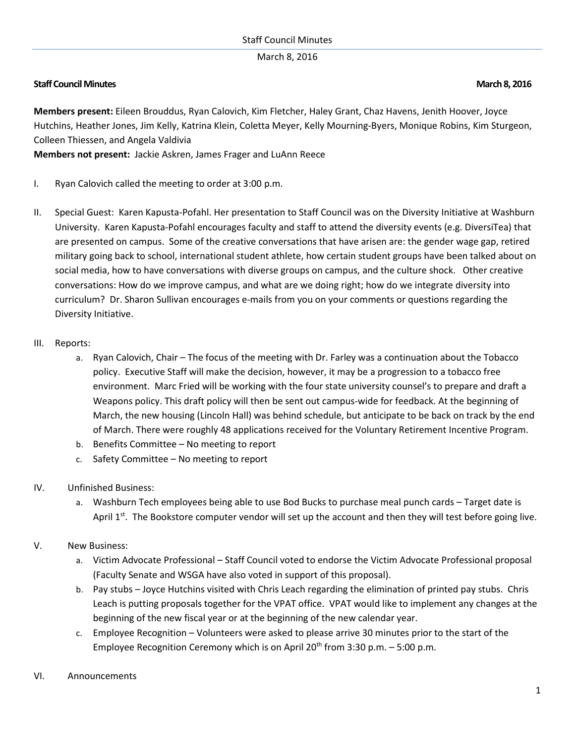March 8, 2016

## **Staff Council Minutes March 8, 2016**

**Members present:** Eileen Brouddus, Ryan Calovich, Kim Fletcher, Haley Grant, Chaz Havens, Jenith Hoover, Joyce Hutchins, Heather Jones, Jim Kelly, Katrina Klein, Coletta Meyer, Kelly Mourning-Byers, Monique Robins, Kim Sturgeon, Colleen Thiessen, and Angela Valdivia

**Members not present:** Jackie Askren, James Frager and LuAnn Reece

- I. Ryan Calovich called the meeting to order at 3:00 p.m.
- II. Special Guest: Karen Kapusta-Pofahl. Her presentation to Staff Council was on the Diversity Initiative at Washburn University. Karen Kapusta-Pofahl encourages faculty and staff to attend the diversity events (e.g. DiversiTea) that are presented on campus. Some of the creative conversations that have arisen are: the gender wage gap, retired military going back to school, international student athlete, how certain student groups have been talked about on social media, how to have conversations with diverse groups on campus, and the culture shock. Other creative conversations: How do we improve campus, and what are we doing right; how do we integrate diversity into curriculum? Dr. Sharon Sullivan encourages e-mails from you on your comments or questions regarding the Diversity Initiative.
- III. Reports:
	- a. Ryan Calovich, Chair The focus of the meeting with Dr. Farley was a continuation about the Tobacco policy. Executive Staff will make the decision, however, it may be a progression to a tobacco free environment. Marc Fried will be working with the four state university counsel's to prepare and draft a Weapons policy. This draft policy will then be sent out campus-wide for feedback. At the beginning of March, the new housing (Lincoln Hall) was behind schedule, but anticipate to be back on track by the end of March. There were roughly 48 applications received for the Voluntary Retirement Incentive Program.
	- b. Benefits Committee No meeting to report
	- c. Safety Committee No meeting to report
- IV. Unfinished Business:
	- a. Washburn Tech employees being able to use Bod Bucks to purchase meal punch cards Target date is April  $1^{st}$ . The Bookstore computer vendor will set up the account and then they will test before going live.

## V. New Business:

- a. Victim Advocate Professional Staff Council voted to endorse the Victim Advocate Professional proposal (Faculty Senate and WSGA have also voted in support of this proposal).
- b. Pay stubs Joyce Hutchins visited with Chris Leach regarding the elimination of printed pay stubs. Chris Leach is putting proposals together for the VPAT office. VPAT would like to implement any changes at the beginning of the new fiscal year or at the beginning of the new calendar year.
- c. Employee Recognition Volunteers were asked to please arrive 30 minutes prior to the start of the Employee Recognition Ceremony which is on April 20<sup>th</sup> from 3:30 p.m.  $-$  5:00 p.m.

## VI. Announcements